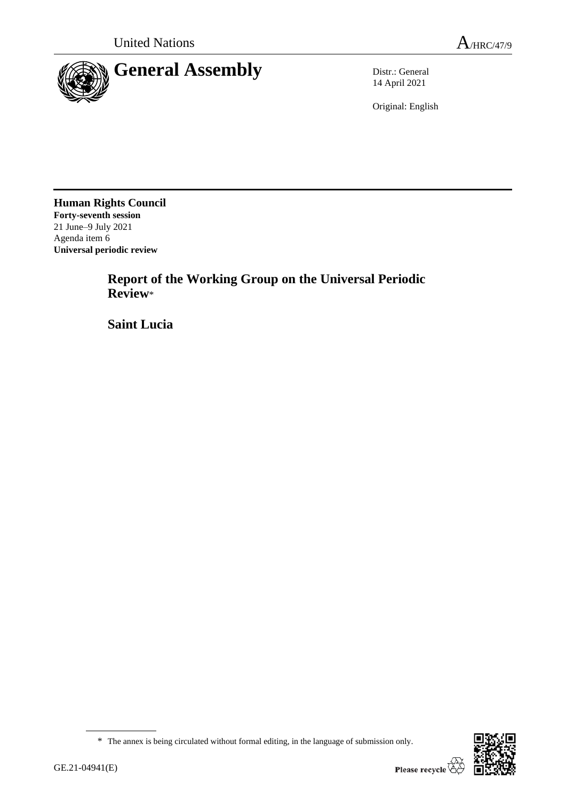

14 April 2021

Original: English

**Human Rights Council Forty-seventh session** 21 June–9 July 2021 Agenda item 6 **Universal periodic review**

> **Report of the Working Group on the Universal Periodic Review**\*

**Saint Lucia**



<sup>\*</sup> The annex is being circulated without formal editing, in the language of submission only.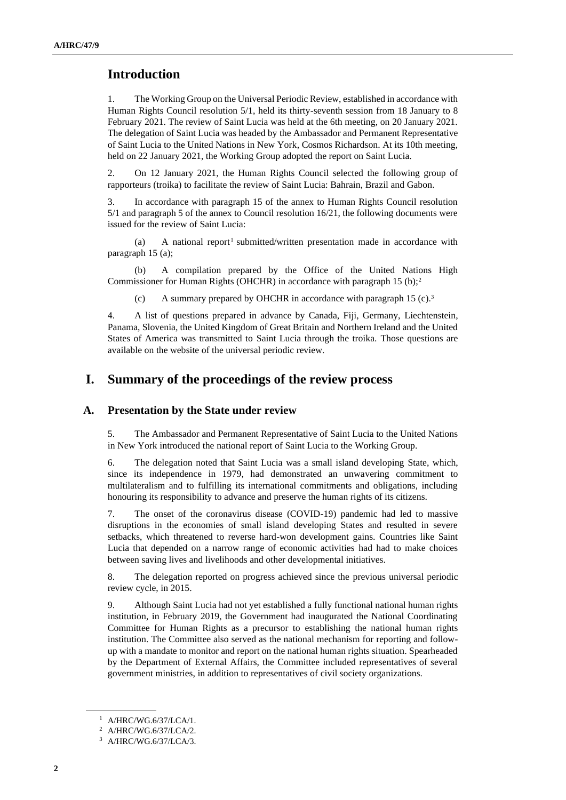## **Introduction**

1. The Working Group on the Universal Periodic Review, established in accordance with Human Rights Council resolution 5/1, held its thirty-seventh session from 18 January to 8 February 2021. The review of Saint Lucia was held at the 6th meeting, on 20 January 2021. The delegation of Saint Lucia was headed by the Ambassador and Permanent Representative of Saint Lucia to the United Nations in New York, Cosmos Richardson. At its 10th meeting, held on 22 January 2021, the Working Group adopted the report on Saint Lucia.

2. On 12 January 2021, the Human Rights Council selected the following group of rapporteurs (troika) to facilitate the review of Saint Lucia: Bahrain, Brazil and Gabon.

3. In accordance with paragraph 15 of the annex to Human Rights Council resolution 5/1 and paragraph 5 of the annex to Council resolution 16/21, the following documents were issued for the review of Saint Lucia:

(a) A national report<sup>1</sup> submitted/written presentation made in accordance with paragraph 15 (a);

(b) A compilation prepared by the Office of the United Nations High Commissioner for Human Rights (OHCHR) in accordance with paragraph 15 (b);<sup>2</sup>

(c) A summary prepared by OHCHR in accordance with paragraph 15 (c).<sup>3</sup>

4. A list of questions prepared in advance by Canada, Fiji, Germany, Liechtenstein, Panama, Slovenia, the United Kingdom of Great Britain and Northern Ireland and the United States of America was transmitted to Saint Lucia through the troika. Those questions are available on the website of the universal periodic review.

## **I. Summary of the proceedings of the review process**

#### **A. Presentation by the State under review**

5. The Ambassador and Permanent Representative of Saint Lucia to the United Nations in New York introduced the national report of Saint Lucia to the Working Group.

6. The delegation noted that Saint Lucia was a small island developing State, which, since its independence in 1979, had demonstrated an unwavering commitment to multilateralism and to fulfilling its international commitments and obligations, including honouring its responsibility to advance and preserve the human rights of its citizens.

7. The onset of the coronavirus disease (COVID-19) pandemic had led to massive disruptions in the economies of small island developing States and resulted in severe setbacks, which threatened to reverse hard-won development gains. Countries like Saint Lucia that depended on a narrow range of economic activities had had to make choices between saving lives and livelihoods and other developmental initiatives.

8. The delegation reported on progress achieved since the previous universal periodic review cycle, in 2015.

9. Although Saint Lucia had not yet established a fully functional national human rights institution, in February 2019, the Government had inaugurated the National Coordinating Committee for Human Rights as a precursor to establishing the national human rights institution. The Committee also served as the national mechanism for reporting and followup with a mandate to monitor and report on the national human rights situation. Spearheaded by the Department of External Affairs, the Committee included representatives of several government ministries, in addition to representatives of civil society organizations.

<sup>1</sup> A/HRC/WG.6/37/LCA/1.

<sup>2</sup> A/HRC/WG.6/37/LCA/2.

<sup>3</sup> A/HRC/WG.6/37/LCA/3.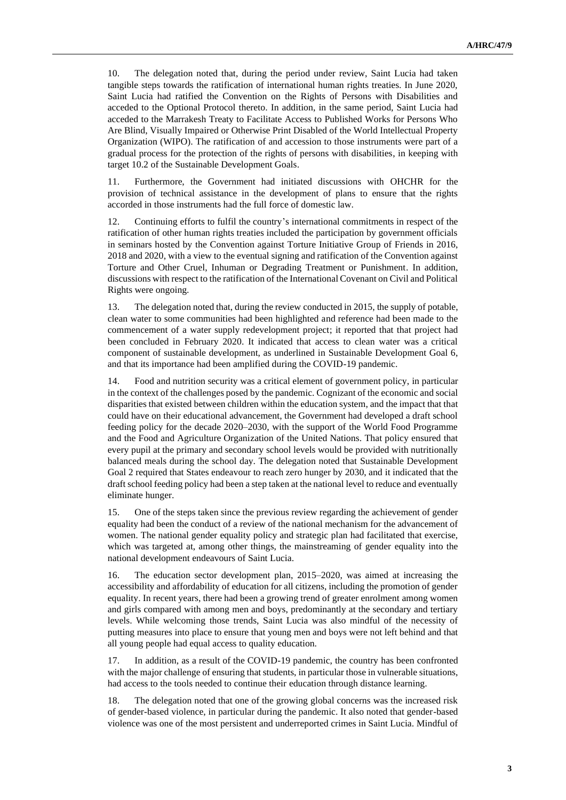10. The delegation noted that, during the period under review, Saint Lucia had taken tangible steps towards the ratification of international human rights treaties. In June 2020, Saint Lucia had ratified the Convention on the Rights of Persons with Disabilities and acceded to the Optional Protocol thereto. In addition, in the same period, Saint Lucia had acceded to the Marrakesh Treaty to Facilitate Access to Published Works for Persons Who Are Blind, Visually Impaired or Otherwise Print Disabled of the World Intellectual Property Organization (WIPO). The ratification of and accession to those instruments were part of a gradual process for the protection of the rights of persons with disabilities, in keeping with target 10.2 of the Sustainable Development Goals.

11. Furthermore, the Government had initiated discussions with OHCHR for the provision of technical assistance in the development of plans to ensure that the rights accorded in those instruments had the full force of domestic law.

12. Continuing efforts to fulfil the country's international commitments in respect of the ratification of other human rights treaties included the participation by government officials in seminars hosted by the Convention against Torture Initiative Group of Friends in 2016, 2018 and 2020, with a view to the eventual signing and ratification of the Convention against Torture and Other Cruel, Inhuman or Degrading Treatment or Punishment. In addition, discussions with respect to the ratification of the International Covenant on Civil and Political Rights were ongoing.

13. The delegation noted that, during the review conducted in 2015, the supply of potable, clean water to some communities had been highlighted and reference had been made to the commencement of a water supply redevelopment project; it reported that that project had been concluded in February 2020. It indicated that access to clean water was a critical component of sustainable development, as underlined in Sustainable Development Goal 6, and that its importance had been amplified during the COVID-19 pandemic.

14. Food and nutrition security was a critical element of government policy, in particular in the context of the challenges posed by the pandemic. Cognizant of the economic and social disparities that existed between children within the education system, and the impact that that could have on their educational advancement, the Government had developed a draft school feeding policy for the decade 2020–2030, with the support of the World Food Programme and the Food and Agriculture Organization of the United Nations. That policy ensured that every pupil at the primary and secondary school levels would be provided with nutritionally balanced meals during the school day. The delegation noted that Sustainable Development Goal 2 required that States endeavour to reach zero hunger by 2030, and it indicated that the draft school feeding policy had been a step taken at the national level to reduce and eventually eliminate hunger.

15. One of the steps taken since the previous review regarding the achievement of gender equality had been the conduct of a review of the national mechanism for the advancement of women. The national gender equality policy and strategic plan had facilitated that exercise, which was targeted at, among other things, the mainstreaming of gender equality into the national development endeavours of Saint Lucia.

16. The education sector development plan, 2015–2020, was aimed at increasing the accessibility and affordability of education for all citizens, including the promotion of gender equality. In recent years, there had been a growing trend of greater enrolment among women and girls compared with among men and boys, predominantly at the secondary and tertiary levels. While welcoming those trends, Saint Lucia was also mindful of the necessity of putting measures into place to ensure that young men and boys were not left behind and that all young people had equal access to quality education.

17. In addition, as a result of the COVID-19 pandemic, the country has been confronted with the major challenge of ensuring that students, in particular those in vulnerable situations, had access to the tools needed to continue their education through distance learning.

18. The delegation noted that one of the growing global concerns was the increased risk of gender-based violence, in particular during the pandemic. It also noted that gender-based violence was one of the most persistent and underreported crimes in Saint Lucia. Mindful of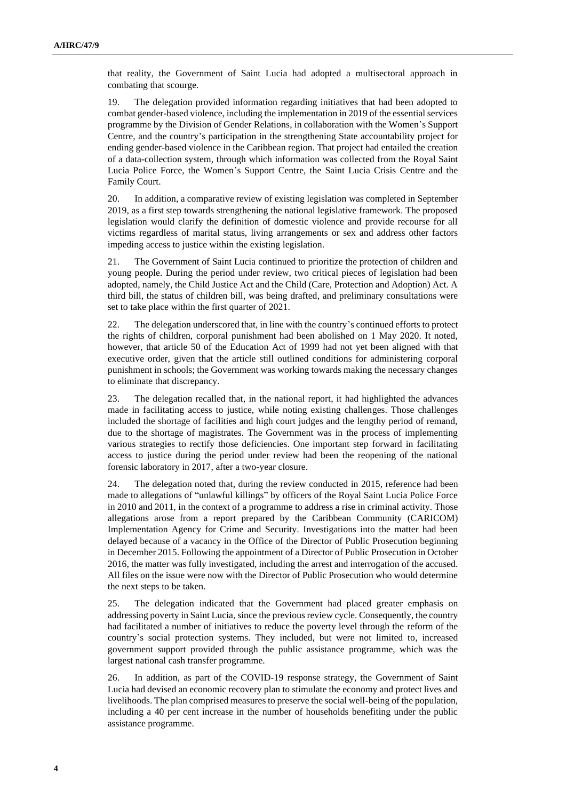that reality, the Government of Saint Lucia had adopted a multisectoral approach in combating that scourge.

19. The delegation provided information regarding initiatives that had been adopted to combat gender-based violence, including the implementation in 2019 of the essential services programme by the Division of Gender Relations, in collaboration with the Women's Support Centre, and the country's participation in the strengthening State accountability project for ending gender-based violence in the Caribbean region. That project had entailed the creation of a data-collection system, through which information was collected from the Royal Saint Lucia Police Force, the Women's Support Centre, the Saint Lucia Crisis Centre and the Family Court.

20. In addition, a comparative review of existing legislation was completed in September 2019, as a first step towards strengthening the national legislative framework. The proposed legislation would clarify the definition of domestic violence and provide recourse for all victims regardless of marital status, living arrangements or sex and address other factors impeding access to justice within the existing legislation.

21. The Government of Saint Lucia continued to prioritize the protection of children and young people. During the period under review, two critical pieces of legislation had been adopted, namely, the Child Justice Act and the Child (Care, Protection and Adoption) Act. A third bill, the status of children bill, was being drafted, and preliminary consultations were set to take place within the first quarter of 2021.

22. The delegation underscored that, in line with the country's continued efforts to protect the rights of children, corporal punishment had been abolished on 1 May 2020. It noted, however, that article 50 of the Education Act of 1999 had not yet been aligned with that executive order, given that the article still outlined conditions for administering corporal punishment in schools; the Government was working towards making the necessary changes to eliminate that discrepancy.

23. The delegation recalled that, in the national report, it had highlighted the advances made in facilitating access to justice, while noting existing challenges. Those challenges included the shortage of facilities and high court judges and the lengthy period of remand, due to the shortage of magistrates. The Government was in the process of implementing various strategies to rectify those deficiencies. One important step forward in facilitating access to justice during the period under review had been the reopening of the national forensic laboratory in 2017, after a two-year closure.

24. The delegation noted that, during the review conducted in 2015, reference had been made to allegations of "unlawful killings" by officers of the Royal Saint Lucia Police Force in 2010 and 2011, in the context of a programme to address a rise in criminal activity. Those allegations arose from a report prepared by the Caribbean Community (CARICOM) Implementation Agency for Crime and Security. Investigations into the matter had been delayed because of a vacancy in the Office of the Director of Public Prosecution beginning in December 2015. Following the appointment of a Director of Public Prosecution in October 2016, the matter was fully investigated, including the arrest and interrogation of the accused. All files on the issue were now with the Director of Public Prosecution who would determine the next steps to be taken.

25. The delegation indicated that the Government had placed greater emphasis on addressing poverty in Saint Lucia, since the previous review cycle. Consequently, the country had facilitated a number of initiatives to reduce the poverty level through the reform of the country's social protection systems. They included, but were not limited to, increased government support provided through the public assistance programme, which was the largest national cash transfer programme.

26. In addition, as part of the COVID-19 response strategy, the Government of Saint Lucia had devised an economic recovery plan to stimulate the economy and protect lives and livelihoods. The plan comprised measures to preserve the social well-being of the population, including a 40 per cent increase in the number of households benefiting under the public assistance programme.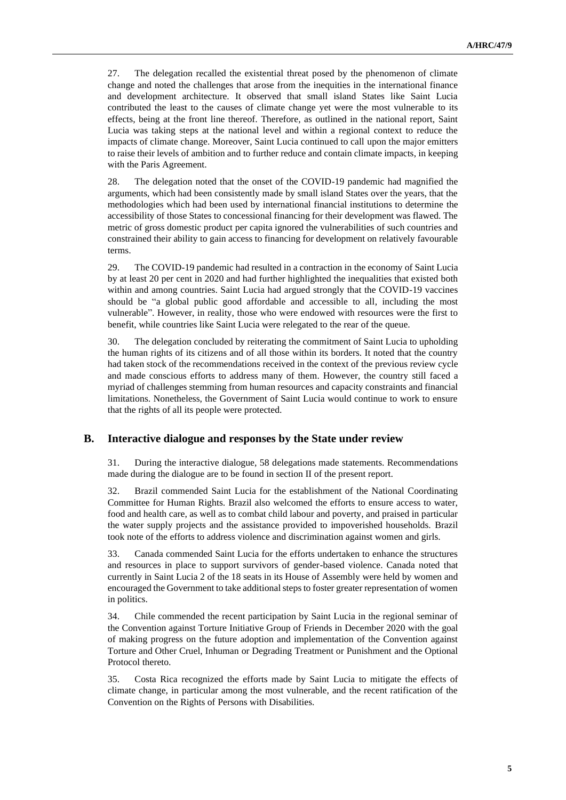27. The delegation recalled the existential threat posed by the phenomenon of climate change and noted the challenges that arose from the inequities in the international finance and development architecture. It observed that small island States like Saint Lucia contributed the least to the causes of climate change yet were the most vulnerable to its effects, being at the front line thereof. Therefore, as outlined in the national report, Saint Lucia was taking steps at the national level and within a regional context to reduce the impacts of climate change. Moreover, Saint Lucia continued to call upon the major emitters to raise their levels of ambition and to further reduce and contain climate impacts, in keeping with the Paris Agreement.

28. The delegation noted that the onset of the COVID-19 pandemic had magnified the arguments, which had been consistently made by small island States over the years, that the methodologies which had been used by international financial institutions to determine the accessibility of those States to concessional financing for their development was flawed. The metric of gross domestic product per capita ignored the vulnerabilities of such countries and constrained their ability to gain access to financing for development on relatively favourable terms.

29. The COVID-19 pandemic had resulted in a contraction in the economy of Saint Lucia by at least 20 per cent in 2020 and had further highlighted the inequalities that existed both within and among countries. Saint Lucia had argued strongly that the COVID-19 vaccines should be "a global public good affordable and accessible to all, including the most vulnerable". However, in reality, those who were endowed with resources were the first to benefit, while countries like Saint Lucia were relegated to the rear of the queue.

30. The delegation concluded by reiterating the commitment of Saint Lucia to upholding the human rights of its citizens and of all those within its borders. It noted that the country had taken stock of the recommendations received in the context of the previous review cycle and made conscious efforts to address many of them. However, the country still faced a myriad of challenges stemming from human resources and capacity constraints and financial limitations. Nonetheless, the Government of Saint Lucia would continue to work to ensure that the rights of all its people were protected.

#### **B. Interactive dialogue and responses by the State under review**

31. During the interactive dialogue, 58 delegations made statements. Recommendations made during the dialogue are to be found in section II of the present report.

32. Brazil commended Saint Lucia for the establishment of the National Coordinating Committee for Human Rights. Brazil also welcomed the efforts to ensure access to water, food and health care, as well as to combat child labour and poverty, and praised in particular the water supply projects and the assistance provided to impoverished households. Brazil took note of the efforts to address violence and discrimination against women and girls.

33. Canada commended Saint Lucia for the efforts undertaken to enhance the structures and resources in place to support survivors of gender-based violence. Canada noted that currently in Saint Lucia 2 of the 18 seats in its House of Assembly were held by women and encouraged the Government to take additional steps to foster greater representation of women in politics.

34. Chile commended the recent participation by Saint Lucia in the regional seminar of the Convention against Torture Initiative Group of Friends in December 2020 with the goal of making progress on the future adoption and implementation of the Convention against Torture and Other Cruel, Inhuman or Degrading Treatment or Punishment and the Optional Protocol thereto.

35. Costa Rica recognized the efforts made by Saint Lucia to mitigate the effects of climate change, in particular among the most vulnerable, and the recent ratification of the Convention on the Rights of Persons with Disabilities.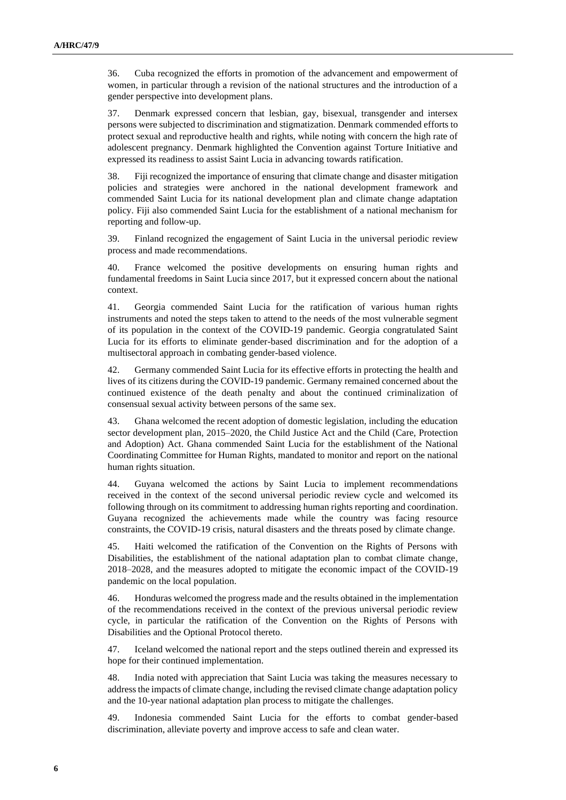36. Cuba recognized the efforts in promotion of the advancement and empowerment of women, in particular through a revision of the national structures and the introduction of a gender perspective into development plans.

37. Denmark expressed concern that lesbian, gay, bisexual, transgender and intersex persons were subjected to discrimination and stigmatization. Denmark commended efforts to protect sexual and reproductive health and rights, while noting with concern the high rate of adolescent pregnancy. Denmark highlighted the Convention against Torture Initiative and expressed its readiness to assist Saint Lucia in advancing towards ratification.

38. Fiji recognized the importance of ensuring that climate change and disaster mitigation policies and strategies were anchored in the national development framework and commended Saint Lucia for its national development plan and climate change adaptation policy. Fiji also commended Saint Lucia for the establishment of a national mechanism for reporting and follow-up.

39. Finland recognized the engagement of Saint Lucia in the universal periodic review process and made recommendations.

40. France welcomed the positive developments on ensuring human rights and fundamental freedoms in Saint Lucia since 2017, but it expressed concern about the national context.

41. Georgia commended Saint Lucia for the ratification of various human rights instruments and noted the steps taken to attend to the needs of the most vulnerable segment of its population in the context of the COVID-19 pandemic. Georgia congratulated Saint Lucia for its efforts to eliminate gender-based discrimination and for the adoption of a multisectoral approach in combating gender-based violence.

42. Germany commended Saint Lucia for its effective efforts in protecting the health and lives of its citizens during the COVID-19 pandemic. Germany remained concerned about the continued existence of the death penalty and about the continued criminalization of consensual sexual activity between persons of the same sex.

43. Ghana welcomed the recent adoption of domestic legislation, including the education sector development plan, 2015–2020, the Child Justice Act and the Child (Care, Protection and Adoption) Act. Ghana commended Saint Lucia for the establishment of the National Coordinating Committee for Human Rights, mandated to monitor and report on the national human rights situation.

44. Guyana welcomed the actions by Saint Lucia to implement recommendations received in the context of the second universal periodic review cycle and welcomed its following through on its commitment to addressing human rights reporting and coordination. Guyana recognized the achievements made while the country was facing resource constraints, the COVID-19 crisis, natural disasters and the threats posed by climate change.

45. Haiti welcomed the ratification of the Convention on the Rights of Persons with Disabilities, the establishment of the national adaptation plan to combat climate change, 2018–2028, and the measures adopted to mitigate the economic impact of the COVID-19 pandemic on the local population.

46. Honduras welcomed the progress made and the results obtained in the implementation of the recommendations received in the context of the previous universal periodic review cycle, in particular the ratification of the Convention on the Rights of Persons with Disabilities and the Optional Protocol thereto.

47. Iceland welcomed the national report and the steps outlined therein and expressed its hope for their continued implementation.

48. India noted with appreciation that Saint Lucia was taking the measures necessary to address the impacts of climate change, including the revised climate change adaptation policy and the 10-year national adaptation plan process to mitigate the challenges.

49. Indonesia commended Saint Lucia for the efforts to combat gender-based discrimination, alleviate poverty and improve access to safe and clean water.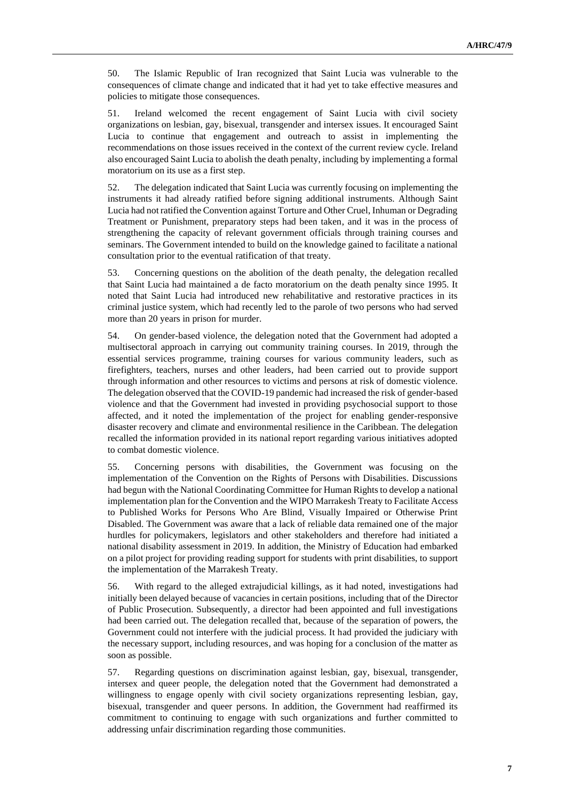50. The Islamic Republic of Iran recognized that Saint Lucia was vulnerable to the consequences of climate change and indicated that it had yet to take effective measures and policies to mitigate those consequences.

51. Ireland welcomed the recent engagement of Saint Lucia with civil society organizations on lesbian, gay, bisexual, transgender and intersex issues. It encouraged Saint Lucia to continue that engagement and outreach to assist in implementing the recommendations on those issues received in the context of the current review cycle. Ireland also encouraged Saint Lucia to abolish the death penalty, including by implementing a formal moratorium on its use as a first step.

52. The delegation indicated that Saint Lucia was currently focusing on implementing the instruments it had already ratified before signing additional instruments. Although Saint Lucia had not ratified the Convention against Torture and Other Cruel, Inhuman or Degrading Treatment or Punishment, preparatory steps had been taken, and it was in the process of strengthening the capacity of relevant government officials through training courses and seminars. The Government intended to build on the knowledge gained to facilitate a national consultation prior to the eventual ratification of that treaty.

53. Concerning questions on the abolition of the death penalty, the delegation recalled that Saint Lucia had maintained a de facto moratorium on the death penalty since 1995. It noted that Saint Lucia had introduced new rehabilitative and restorative practices in its criminal justice system, which had recently led to the parole of two persons who had served more than 20 years in prison for murder.

54. On gender-based violence, the delegation noted that the Government had adopted a multisectoral approach in carrying out community training courses. In 2019, through the essential services programme, training courses for various community leaders, such as firefighters, teachers, nurses and other leaders, had been carried out to provide support through information and other resources to victims and persons at risk of domestic violence. The delegation observed that the COVID-19 pandemic had increased the risk of gender-based violence and that the Government had invested in providing psychosocial support to those affected, and it noted the implementation of the project for enabling gender-responsive disaster recovery and climate and environmental resilience in the Caribbean. The delegation recalled the information provided in its national report regarding various initiatives adopted to combat domestic violence.

55. Concerning persons with disabilities, the Government was focusing on the implementation of the Convention on the Rights of Persons with Disabilities. Discussions had begun with the National Coordinating Committee for Human Rights to develop a national implementation plan for the Convention and the WIPO Marrakesh Treaty to Facilitate Access to Published Works for Persons Who Are Blind, Visually Impaired or Otherwise Print Disabled. The Government was aware that a lack of reliable data remained one of the major hurdles for policymakers, legislators and other stakeholders and therefore had initiated a national disability assessment in 2019. In addition, the Ministry of Education had embarked on a pilot project for providing reading support for students with print disabilities, to support the implementation of the Marrakesh Treaty.

56. With regard to the alleged extrajudicial killings, as it had noted, investigations had initially been delayed because of vacancies in certain positions, including that of the Director of Public Prosecution. Subsequently, a director had been appointed and full investigations had been carried out. The delegation recalled that, because of the separation of powers, the Government could not interfere with the judicial process. It had provided the judiciary with the necessary support, including resources, and was hoping for a conclusion of the matter as soon as possible.

57. Regarding questions on discrimination against lesbian, gay, bisexual, transgender, intersex and queer people, the delegation noted that the Government had demonstrated a willingness to engage openly with civil society organizations representing lesbian, gay, bisexual, transgender and queer persons. In addition, the Government had reaffirmed its commitment to continuing to engage with such organizations and further committed to addressing unfair discrimination regarding those communities.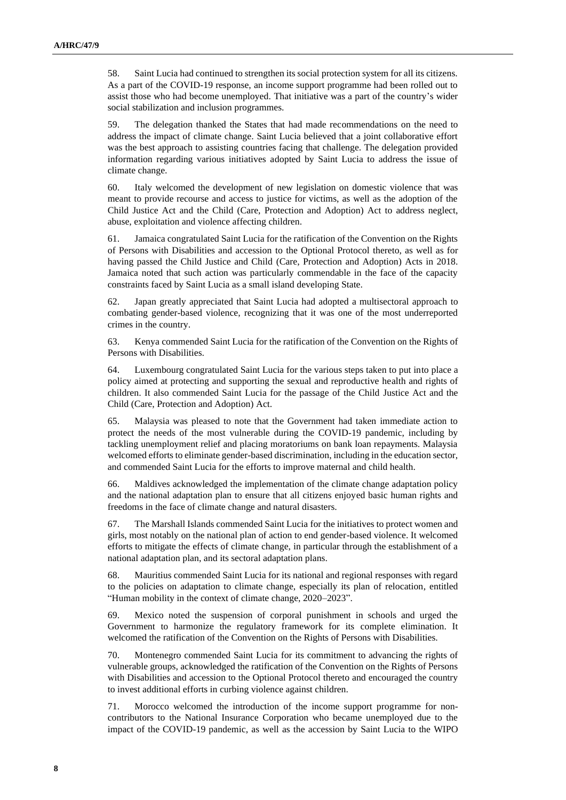58. Saint Lucia had continued to strengthen its social protection system for all its citizens. As a part of the COVID-19 response, an income support programme had been rolled out to assist those who had become unemployed. That initiative was a part of the country's wider social stabilization and inclusion programmes.

59. The delegation thanked the States that had made recommendations on the need to address the impact of climate change. Saint Lucia believed that a joint collaborative effort was the best approach to assisting countries facing that challenge. The delegation provided information regarding various initiatives adopted by Saint Lucia to address the issue of climate change.

60. Italy welcomed the development of new legislation on domestic violence that was meant to provide recourse and access to justice for victims, as well as the adoption of the Child Justice Act and the Child (Care, Protection and Adoption) Act to address neglect, abuse, exploitation and violence affecting children.

61. Jamaica congratulated Saint Lucia for the ratification of the Convention on the Rights of Persons with Disabilities and accession to the Optional Protocol thereto, as well as for having passed the Child Justice and Child (Care, Protection and Adoption) Acts in 2018. Jamaica noted that such action was particularly commendable in the face of the capacity constraints faced by Saint Lucia as a small island developing State.

62. Japan greatly appreciated that Saint Lucia had adopted a multisectoral approach to combating gender-based violence, recognizing that it was one of the most underreported crimes in the country.

63. Kenya commended Saint Lucia for the ratification of the Convention on the Rights of Persons with Disabilities.

64. Luxembourg congratulated Saint Lucia for the various steps taken to put into place a policy aimed at protecting and supporting the sexual and reproductive health and rights of children. It also commended Saint Lucia for the passage of the Child Justice Act and the Child (Care, Protection and Adoption) Act.

65. Malaysia was pleased to note that the Government had taken immediate action to protect the needs of the most vulnerable during the COVID-19 pandemic, including by tackling unemployment relief and placing moratoriums on bank loan repayments. Malaysia welcomed efforts to eliminate gender-based discrimination, including in the education sector, and commended Saint Lucia for the efforts to improve maternal and child health.

66. Maldives acknowledged the implementation of the climate change adaptation policy and the national adaptation plan to ensure that all citizens enjoyed basic human rights and freedoms in the face of climate change and natural disasters.

67. The Marshall Islands commended Saint Lucia for the initiatives to protect women and girls, most notably on the national plan of action to end gender-based violence. It welcomed efforts to mitigate the effects of climate change, in particular through the establishment of a national adaptation plan, and its sectoral adaptation plans.

68. Mauritius commended Saint Lucia for its national and regional responses with regard to the policies on adaptation to climate change, especially its plan of relocation, entitled "Human mobility in the context of climate change, 2020–2023".

69. Mexico noted the suspension of corporal punishment in schools and urged the Government to harmonize the regulatory framework for its complete elimination. It welcomed the ratification of the Convention on the Rights of Persons with Disabilities.

70. Montenegro commended Saint Lucia for its commitment to advancing the rights of vulnerable groups, acknowledged the ratification of the Convention on the Rights of Persons with Disabilities and accession to the Optional Protocol thereto and encouraged the country to invest additional efforts in curbing violence against children.

71. Morocco welcomed the introduction of the income support programme for noncontributors to the National Insurance Corporation who became unemployed due to the impact of the COVID-19 pandemic, as well as the accession by Saint Lucia to the WIPO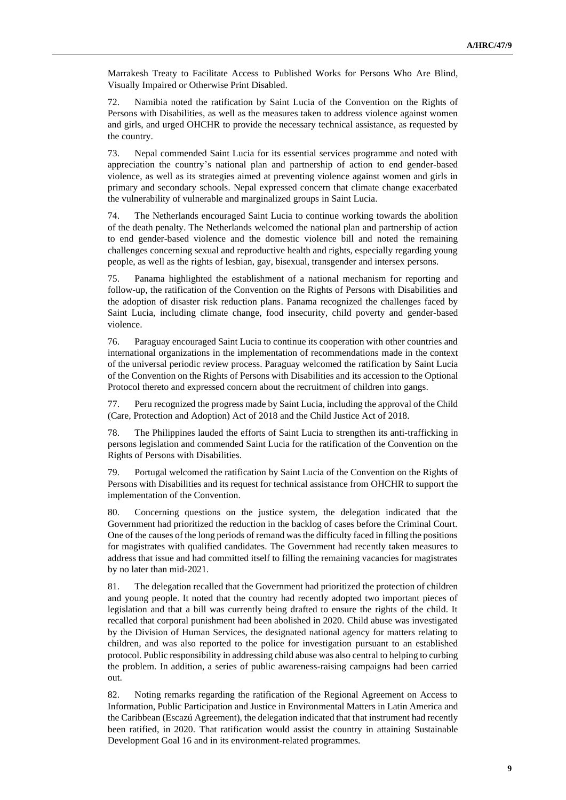Marrakesh Treaty to Facilitate Access to Published Works for Persons Who Are Blind, Visually Impaired or Otherwise Print Disabled.

72. Namibia noted the ratification by Saint Lucia of the Convention on the Rights of Persons with Disabilities, as well as the measures taken to address violence against women and girls, and urged OHCHR to provide the necessary technical assistance, as requested by the country.

73. Nepal commended Saint Lucia for its essential services programme and noted with appreciation the country's national plan and partnership of action to end gender-based violence, as well as its strategies aimed at preventing violence against women and girls in primary and secondary schools. Nepal expressed concern that climate change exacerbated the vulnerability of vulnerable and marginalized groups in Saint Lucia.

74. The Netherlands encouraged Saint Lucia to continue working towards the abolition of the death penalty. The Netherlands welcomed the national plan and partnership of action to end gender-based violence and the domestic violence bill and noted the remaining challenges concerning sexual and reproductive health and rights, especially regarding young people, as well as the rights of lesbian, gay, bisexual, transgender and intersex persons.

75. Panama highlighted the establishment of a national mechanism for reporting and follow-up, the ratification of the Convention on the Rights of Persons with Disabilities and the adoption of disaster risk reduction plans. Panama recognized the challenges faced by Saint Lucia, including climate change, food insecurity, child poverty and gender-based violence.

76. Paraguay encouraged Saint Lucia to continue its cooperation with other countries and international organizations in the implementation of recommendations made in the context of the universal periodic review process. Paraguay welcomed the ratification by Saint Lucia of the Convention on the Rights of Persons with Disabilities and its accession to the Optional Protocol thereto and expressed concern about the recruitment of children into gangs.

77. Peru recognized the progress made by Saint Lucia, including the approval of the Child (Care, Protection and Adoption) Act of 2018 and the Child Justice Act of 2018.

78. The Philippines lauded the efforts of Saint Lucia to strengthen its anti-trafficking in persons legislation and commended Saint Lucia for the ratification of the Convention on the Rights of Persons with Disabilities.

79. Portugal welcomed the ratification by Saint Lucia of the Convention on the Rights of Persons with Disabilities and its request for technical assistance from OHCHR to support the implementation of the Convention.

80. Concerning questions on the justice system, the delegation indicated that the Government had prioritized the reduction in the backlog of cases before the Criminal Court. One of the causes of the long periods of remand was the difficulty faced in filling the positions for magistrates with qualified candidates. The Government had recently taken measures to address that issue and had committed itself to filling the remaining vacancies for magistrates by no later than mid-2021.

81. The delegation recalled that the Government had prioritized the protection of children and young people. It noted that the country had recently adopted two important pieces of legislation and that a bill was currently being drafted to ensure the rights of the child. It recalled that corporal punishment had been abolished in 2020. Child abuse was investigated by the Division of Human Services, the designated national agency for matters relating to children, and was also reported to the police for investigation pursuant to an established protocol. Public responsibility in addressing child abuse was also central to helping to curbing the problem. In addition, a series of public awareness-raising campaigns had been carried out.

82. Noting remarks regarding the ratification of the Regional Agreement on Access to Information, Public Participation and Justice in Environmental Matters in Latin America and the Caribbean (Escazú Agreement), the delegation indicated that that instrument had recently been ratified, in 2020. That ratification would assist the country in attaining Sustainable Development Goal 16 and in its environment-related programmes.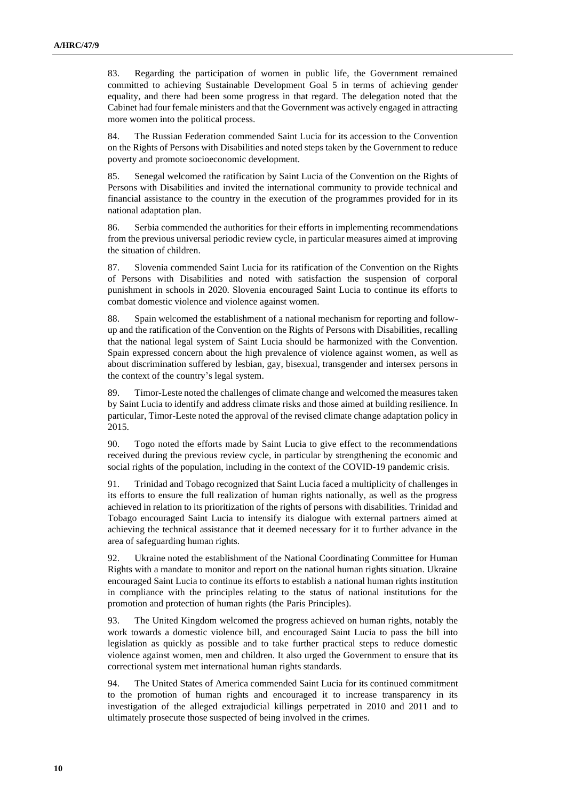83. Regarding the participation of women in public life, the Government remained committed to achieving Sustainable Development Goal 5 in terms of achieving gender equality, and there had been some progress in that regard. The delegation noted that the Cabinet had four female ministers and that the Government was actively engaged in attracting more women into the political process.

84. The Russian Federation commended Saint Lucia for its accession to the Convention on the Rights of Persons with Disabilities and noted steps taken by the Government to reduce poverty and promote socioeconomic development.

85. Senegal welcomed the ratification by Saint Lucia of the Convention on the Rights of Persons with Disabilities and invited the international community to provide technical and financial assistance to the country in the execution of the programmes provided for in its national adaptation plan.

86. Serbia commended the authorities for their efforts in implementing recommendations from the previous universal periodic review cycle, in particular measures aimed at improving the situation of children.

87. Slovenia commended Saint Lucia for its ratification of the Convention on the Rights of Persons with Disabilities and noted with satisfaction the suspension of corporal punishment in schools in 2020. Slovenia encouraged Saint Lucia to continue its efforts to combat domestic violence and violence against women.

88. Spain welcomed the establishment of a national mechanism for reporting and followup and the ratification of the Convention on the Rights of Persons with Disabilities, recalling that the national legal system of Saint Lucia should be harmonized with the Convention. Spain expressed concern about the high prevalence of violence against women, as well as about discrimination suffered by lesbian, gay, bisexual, transgender and intersex persons in the context of the country's legal system.

89. Timor-Leste noted the challenges of climate change and welcomed the measures taken by Saint Lucia to identify and address climate risks and those aimed at building resilience. In particular, Timor-Leste noted the approval of the revised climate change adaptation policy in 2015.

90. Togo noted the efforts made by Saint Lucia to give effect to the recommendations received during the previous review cycle, in particular by strengthening the economic and social rights of the population, including in the context of the COVID-19 pandemic crisis.

91. Trinidad and Tobago recognized that Saint Lucia faced a multiplicity of challenges in its efforts to ensure the full realization of human rights nationally, as well as the progress achieved in relation to its prioritization of the rights of persons with disabilities. Trinidad and Tobago encouraged Saint Lucia to intensify its dialogue with external partners aimed at achieving the technical assistance that it deemed necessary for it to further advance in the area of safeguarding human rights.

92. Ukraine noted the establishment of the National Coordinating Committee for Human Rights with a mandate to monitor and report on the national human rights situation. Ukraine encouraged Saint Lucia to continue its efforts to establish a national human rights institution in compliance with the principles relating to the status of national institutions for the promotion and protection of human rights (the Paris Principles).

93. The United Kingdom welcomed the progress achieved on human rights, notably the work towards a domestic violence bill, and encouraged Saint Lucia to pass the bill into legislation as quickly as possible and to take further practical steps to reduce domestic violence against women, men and children. It also urged the Government to ensure that its correctional system met international human rights standards.

94. The United States of America commended Saint Lucia for its continued commitment to the promotion of human rights and encouraged it to increase transparency in its investigation of the alleged extrajudicial killings perpetrated in 2010 and 2011 and to ultimately prosecute those suspected of being involved in the crimes.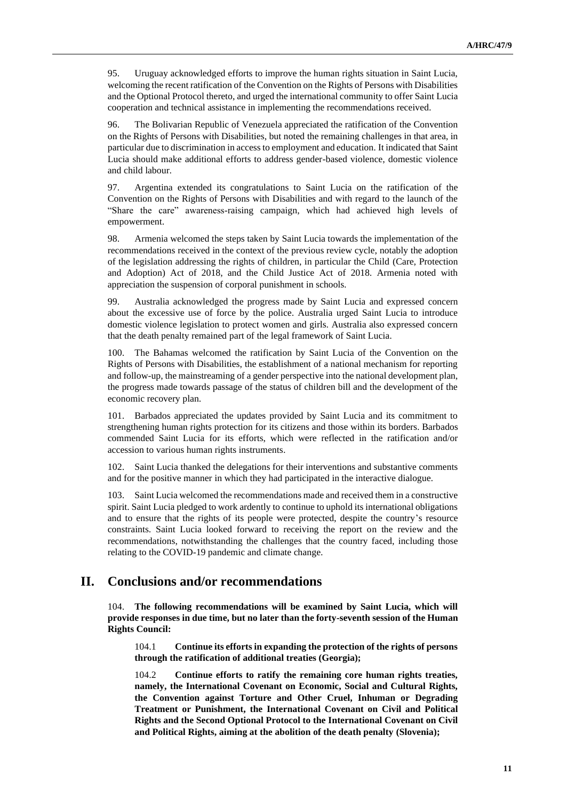95. Uruguay acknowledged efforts to improve the human rights situation in Saint Lucia, welcoming the recent ratification of the Convention on the Rights of Persons with Disabilities and the Optional Protocol thereto, and urged the international community to offer Saint Lucia cooperation and technical assistance in implementing the recommendations received.

96. The Bolivarian Republic of Venezuela appreciated the ratification of the Convention on the Rights of Persons with Disabilities, but noted the remaining challenges in that area, in particular due to discrimination in access to employment and education. It indicated that Saint Lucia should make additional efforts to address gender-based violence, domestic violence and child labour.

97. Argentina extended its congratulations to Saint Lucia on the ratification of the Convention on the Rights of Persons with Disabilities and with regard to the launch of the "Share the care" awareness-raising campaign, which had achieved high levels of empowerment.

98. Armenia welcomed the steps taken by Saint Lucia towards the implementation of the recommendations received in the context of the previous review cycle, notably the adoption of the legislation addressing the rights of children, in particular the Child (Care, Protection and Adoption) Act of 2018, and the Child Justice Act of 2018. Armenia noted with appreciation the suspension of corporal punishment in schools.

99. Australia acknowledged the progress made by Saint Lucia and expressed concern about the excessive use of force by the police. Australia urged Saint Lucia to introduce domestic violence legislation to protect women and girls. Australia also expressed concern that the death penalty remained part of the legal framework of Saint Lucia.

100. The Bahamas welcomed the ratification by Saint Lucia of the Convention on the Rights of Persons with Disabilities, the establishment of a national mechanism for reporting and follow-up, the mainstreaming of a gender perspective into the national development plan, the progress made towards passage of the status of children bill and the development of the economic recovery plan.

101. Barbados appreciated the updates provided by Saint Lucia and its commitment to strengthening human rights protection for its citizens and those within its borders. Barbados commended Saint Lucia for its efforts, which were reflected in the ratification and/or accession to various human rights instruments.

102. Saint Lucia thanked the delegations for their interventions and substantive comments and for the positive manner in which they had participated in the interactive dialogue.

103. Saint Lucia welcomed the recommendations made and received them in a constructive spirit. Saint Lucia pledged to work ardently to continue to uphold its international obligations and to ensure that the rights of its people were protected, despite the country's resource constraints. Saint Lucia looked forward to receiving the report on the review and the recommendations, notwithstanding the challenges that the country faced, including those relating to the COVID-19 pandemic and climate change.

### **II. Conclusions and/or recommendations**

104. **The following recommendations will be examined by Saint Lucia, which will provide responses in due time, but no later than the forty-seventh session of the Human Rights Council:**

104.1 **Continue its efforts in expanding the protection of the rights of persons through the ratification of additional treaties (Georgia);**

104.2 **Continue efforts to ratify the remaining core human rights treaties, namely, the International Covenant on Economic, Social and Cultural Rights, the Convention against Torture and Other Cruel, Inhuman or Degrading Treatment or Punishment, the International Covenant on Civil and Political Rights and the Second Optional Protocol to the International Covenant on Civil and Political Rights, aiming at the abolition of the death penalty (Slovenia);**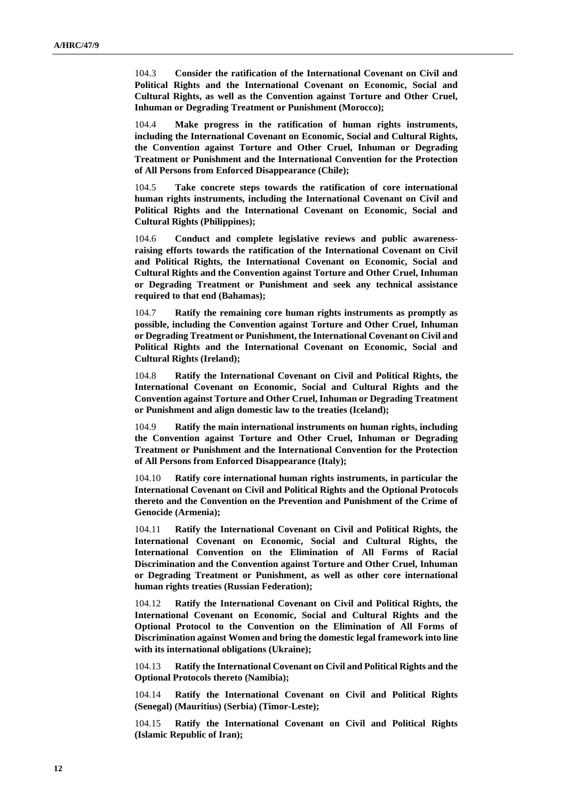104.3 **Consider the ratification of the International Covenant on Civil and Political Rights and the International Covenant on Economic, Social and Cultural Rights, as well as the Convention against Torture and Other Cruel, Inhuman or Degrading Treatment or Punishment (Morocco);**

104.4 **Make progress in the ratification of human rights instruments, including the International Covenant on Economic, Social and Cultural Rights, the Convention against Torture and Other Cruel, Inhuman or Degrading Treatment or Punishment and the International Convention for the Protection of All Persons from Enforced Disappearance (Chile);**

104.5 **Take concrete steps towards the ratification of core international human rights instruments, including the International Covenant on Civil and Political Rights and the International Covenant on Economic, Social and Cultural Rights (Philippines);**

104.6 **Conduct and complete legislative reviews and public awarenessraising efforts towards the ratification of the International Covenant on Civil and Political Rights, the International Covenant on Economic, Social and Cultural Rights and the Convention against Torture and Other Cruel, Inhuman or Degrading Treatment or Punishment and seek any technical assistance required to that end (Bahamas);**

104.7 **Ratify the remaining core human rights instruments as promptly as possible, including the Convention against Torture and Other Cruel, Inhuman or Degrading Treatment or Punishment, the International Covenant on Civil and Political Rights and the International Covenant on Economic, Social and Cultural Rights (Ireland);**

104.8 **Ratify the International Covenant on Civil and Political Rights, the International Covenant on Economic, Social and Cultural Rights and the Convention against Torture and Other Cruel, Inhuman or Degrading Treatment or Punishment and align domestic law to the treaties (Iceland);**

104.9 **Ratify the main international instruments on human rights, including the Convention against Torture and Other Cruel, Inhuman or Degrading Treatment or Punishment and the International Convention for the Protection of All Persons from Enforced Disappearance (Italy);**

104.10 **Ratify core international human rights instruments, in particular the International Covenant on Civil and Political Rights and the Optional Protocols thereto and the Convention on the Prevention and Punishment of the Crime of Genocide (Armenia);**

104.11 **Ratify the International Covenant on Civil and Political Rights, the International Covenant on Economic, Social and Cultural Rights, the International Convention on the Elimination of All Forms of Racial Discrimination and the Convention against Torture and Other Cruel, Inhuman or Degrading Treatment or Punishment, as well as other core international human rights treaties (Russian Federation);**

104.12 **Ratify the International Covenant on Civil and Political Rights, the International Covenant on Economic, Social and Cultural Rights and the Optional Protocol to the Convention on the Elimination of All Forms of Discrimination against Women and bring the domestic legal framework into line with its international obligations (Ukraine);**

104.13 **Ratify the International Covenant on Civil and Political Rights and the Optional Protocols thereto (Namibia);**

104.14 **Ratify the International Covenant on Civil and Political Rights (Senegal) (Mauritius) (Serbia) (Timor-Leste);**

104.15 **Ratify the International Covenant on Civil and Political Rights (Islamic Republic of Iran);**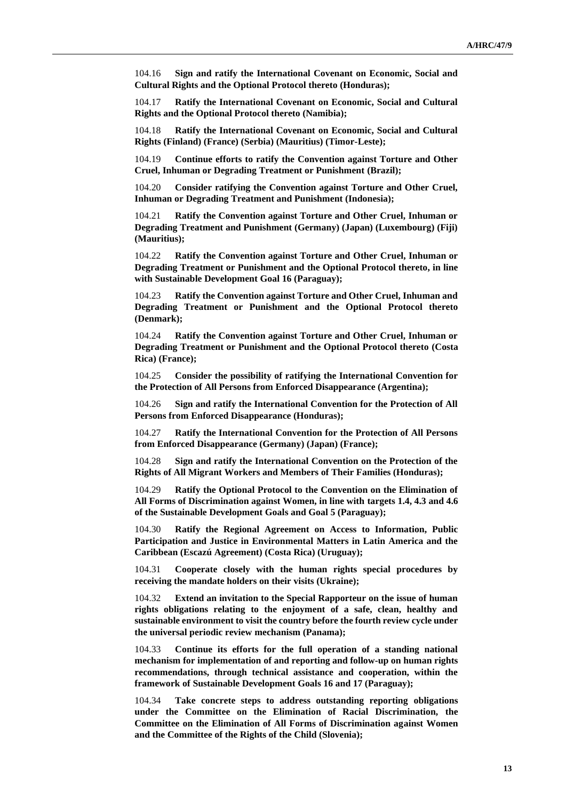104.16 **Sign and ratify the International Covenant on Economic, Social and Cultural Rights and the Optional Protocol thereto (Honduras);**

104.17 **Ratify the International Covenant on Economic, Social and Cultural Rights and the Optional Protocol thereto (Namibia);**

104.18 **Ratify the International Covenant on Economic, Social and Cultural Rights (Finland) (France) (Serbia) (Mauritius) (Timor-Leste);**

104.19 **Continue efforts to ratify the Convention against Torture and Other Cruel, Inhuman or Degrading Treatment or Punishment (Brazil);**

104.20 **Consider ratifying the Convention against Torture and Other Cruel, Inhuman or Degrading Treatment and Punishment (Indonesia);**

104.21 **Ratify the Convention against Torture and Other Cruel, Inhuman or Degrading Treatment and Punishment (Germany) (Japan) (Luxembourg) (Fiji) (Mauritius);**

104.22 **Ratify the Convention against Torture and Other Cruel, Inhuman or Degrading Treatment or Punishment and the Optional Protocol thereto, in line with Sustainable Development Goal 16 (Paraguay);**

104.23 **Ratify the Convention against Torture and Other Cruel, Inhuman and Degrading Treatment or Punishment and the Optional Protocol thereto (Denmark);**

104.24 **Ratify the Convention against Torture and Other Cruel, Inhuman or Degrading Treatment or Punishment and the Optional Protocol thereto (Costa Rica) (France);**

104.25 **Consider the possibility of ratifying the International Convention for the Protection of All Persons from Enforced Disappearance (Argentina);**

104.26 **Sign and ratify the International Convention for the Protection of All Persons from Enforced Disappearance (Honduras);**

104.27 **Ratify the International Convention for the Protection of All Persons from Enforced Disappearance (Germany) (Japan) (France);**

104.28 **Sign and ratify the International Convention on the Protection of the Rights of All Migrant Workers and Members of Their Families (Honduras);**

104.29 **Ratify the Optional Protocol to the Convention on the Elimination of All Forms of Discrimination against Women, in line with targets 1.4, 4.3 and 4.6 of the Sustainable Development Goals and Goal 5 (Paraguay);**

104.30 **Ratify the Regional Agreement on Access to Information, Public Participation and Justice in Environmental Matters in Latin America and the Caribbean (Escazú Agreement) (Costa Rica) (Uruguay);**

104.31 **Cooperate closely with the human rights special procedures by receiving the mandate holders on their visits (Ukraine);**

104.32 **Extend an invitation to the Special Rapporteur on the issue of human rights obligations relating to the enjoyment of a safe, clean, healthy and sustainable environment to visit the country before the fourth review cycle under the universal periodic review mechanism (Panama);**

104.33 **Continue its efforts for the full operation of a standing national mechanism for implementation of and reporting and follow-up on human rights recommendations, through technical assistance and cooperation, within the framework of Sustainable Development Goals 16 and 17 (Paraguay);**

104.34 **Take concrete steps to address outstanding reporting obligations under the Committee on the Elimination of Racial Discrimination, the Committee on the Elimination of All Forms of Discrimination against Women and the Committee of the Rights of the Child (Slovenia);**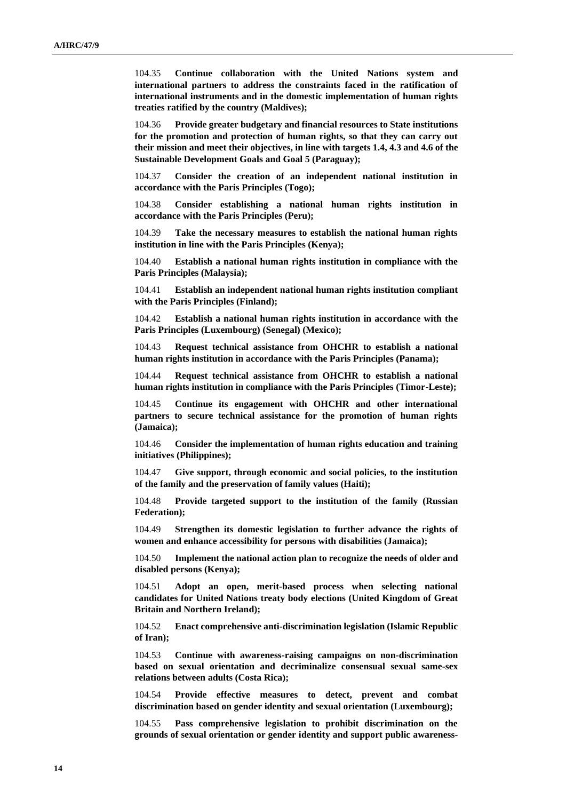104.35 **Continue collaboration with the United Nations system and international partners to address the constraints faced in the ratification of international instruments and in the domestic implementation of human rights treaties ratified by the country (Maldives);**

104.36 **Provide greater budgetary and financial resources to State institutions for the promotion and protection of human rights, so that they can carry out their mission and meet their objectives, in line with targets 1.4, 4.3 and 4.6 of the Sustainable Development Goals and Goal 5 (Paraguay);**

104.37 **Consider the creation of an independent national institution in accordance with the Paris Principles (Togo);**

104.38 **Consider establishing a national human rights institution in accordance with the Paris Principles (Peru);**

104.39 **Take the necessary measures to establish the national human rights institution in line with the Paris Principles (Kenya);**

104.40 **Establish a national human rights institution in compliance with the Paris Principles (Malaysia);**

104.41 **Establish an independent national human rights institution compliant with the Paris Principles (Finland);**

104.42 **Establish a national human rights institution in accordance with the Paris Principles (Luxembourg) (Senegal) (Mexico);**

104.43 **Request technical assistance from OHCHR to establish a national human rights institution in accordance with the Paris Principles (Panama);**

104.44 **Request technical assistance from OHCHR to establish a national human rights institution in compliance with the Paris Principles (Timor-Leste);**

104.45 **Continue its engagement with OHCHR and other international partners to secure technical assistance for the promotion of human rights (Jamaica);**

104.46 **Consider the implementation of human rights education and training initiatives (Philippines);**

104.47 **Give support, through economic and social policies, to the institution of the family and the preservation of family values (Haiti);**

104.48 **Provide targeted support to the institution of the family (Russian Federation);**

104.49 **Strengthen its domestic legislation to further advance the rights of women and enhance accessibility for persons with disabilities (Jamaica);**

104.50 **Implement the national action plan to recognize the needs of older and disabled persons (Kenya);**

104.51 **Adopt an open, merit-based process when selecting national candidates for United Nations treaty body elections (United Kingdom of Great Britain and Northern Ireland);**

104.52 **Enact comprehensive anti-discrimination legislation (Islamic Republic of Iran);**

104.53 **Continue with awareness-raising campaigns on non-discrimination based on sexual orientation and decriminalize consensual sexual same-sex relations between adults (Costa Rica);**

104.54 **Provide effective measures to detect, prevent and combat discrimination based on gender identity and sexual orientation (Luxembourg);**

104.55 **Pass comprehensive legislation to prohibit discrimination on the grounds of sexual orientation or gender identity and support public awareness-**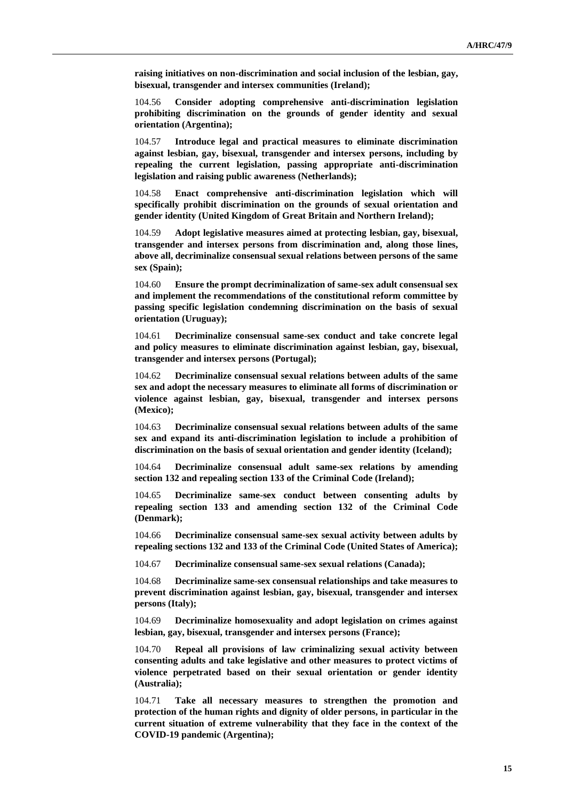**raising initiatives on non-discrimination and social inclusion of the lesbian, gay, bisexual, transgender and intersex communities (Ireland);**

104.56 **Consider adopting comprehensive anti-discrimination legislation prohibiting discrimination on the grounds of gender identity and sexual orientation (Argentina);**

104.57 **Introduce legal and practical measures to eliminate discrimination against lesbian, gay, bisexual, transgender and intersex persons, including by repealing the current legislation, passing appropriate anti-discrimination legislation and raising public awareness (Netherlands);**

104.58 **Enact comprehensive anti-discrimination legislation which will specifically prohibit discrimination on the grounds of sexual orientation and gender identity (United Kingdom of Great Britain and Northern Ireland);**

104.59 **Adopt legislative measures aimed at protecting lesbian, gay, bisexual, transgender and intersex persons from discrimination and, along those lines, above all, decriminalize consensual sexual relations between persons of the same sex (Spain);**

104.60 **Ensure the prompt decriminalization of same-sex adult consensual sex and implement the recommendations of the constitutional reform committee by passing specific legislation condemning discrimination on the basis of sexual orientation (Uruguay);**

104.61 **Decriminalize consensual same-sex conduct and take concrete legal and policy measures to eliminate discrimination against lesbian, gay, bisexual, transgender and intersex persons (Portugal);**

104.62 **Decriminalize consensual sexual relations between adults of the same sex and adopt the necessary measures to eliminate all forms of discrimination or violence against lesbian, gay, bisexual, transgender and intersex persons (Mexico);**

104.63 **Decriminalize consensual sexual relations between adults of the same sex and expand its anti-discrimination legislation to include a prohibition of discrimination on the basis of sexual orientation and gender identity (Iceland);**

104.64 **Decriminalize consensual adult same-sex relations by amending section 132 and repealing section 133 of the Criminal Code (Ireland);**

104.65 **Decriminalize same-sex conduct between consenting adults by repealing section 133 and amending section 132 of the Criminal Code (Denmark);**

104.66 **Decriminalize consensual same-sex sexual activity between adults by repealing sections 132 and 133 of the Criminal Code (United States of America);**

104.67 **Decriminalize consensual same-sex sexual relations (Canada);**

104.68 **Decriminalize same-sex consensual relationships and take measures to prevent discrimination against lesbian, gay, bisexual, transgender and intersex persons (Italy);**

104.69 **Decriminalize homosexuality and adopt legislation on crimes against lesbian, gay, bisexual, transgender and intersex persons (France);**

104.70 **Repeal all provisions of law criminalizing sexual activity between consenting adults and take legislative and other measures to protect victims of violence perpetrated based on their sexual orientation or gender identity (Australia);**

104.71 **Take all necessary measures to strengthen the promotion and protection of the human rights and dignity of older persons, in particular in the current situation of extreme vulnerability that they face in the context of the COVID-19 pandemic (Argentina);**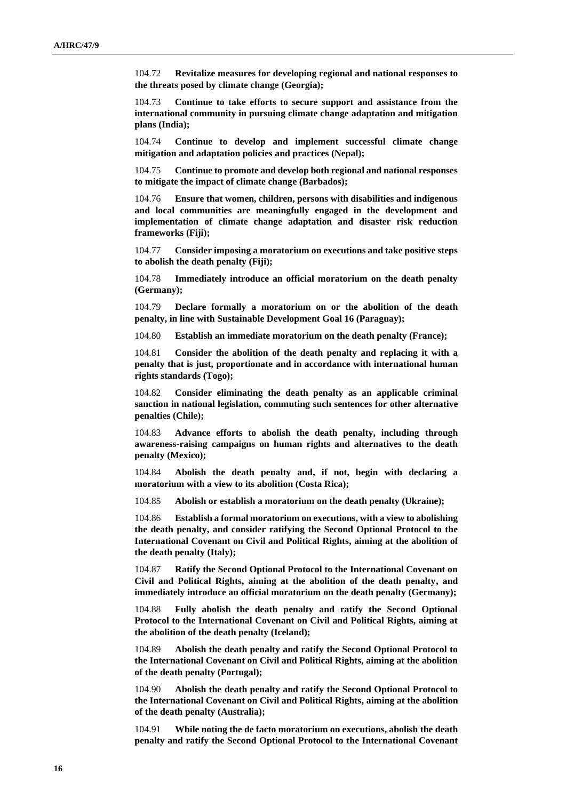104.72 **Revitalize measures for developing regional and national responses to the threats posed by climate change (Georgia);**

104.73 **Continue to take efforts to secure support and assistance from the international community in pursuing climate change adaptation and mitigation plans (India);**

104.74 **Continue to develop and implement successful climate change mitigation and adaptation policies and practices (Nepal);**

104.75 **Continue to promote and develop both regional and national responses to mitigate the impact of climate change (Barbados);**

104.76 **Ensure that women, children, persons with disabilities and indigenous and local communities are meaningfully engaged in the development and implementation of climate change adaptation and disaster risk reduction frameworks (Fiji);**

104.77 **Consider imposing a moratorium on executions and take positive steps to abolish the death penalty (Fiji);**

104.78 **Immediately introduce an official moratorium on the death penalty (Germany);**

104.79 **Declare formally a moratorium on or the abolition of the death penalty, in line with Sustainable Development Goal 16 (Paraguay);**

104.80 **Establish an immediate moratorium on the death penalty (France);**

104.81 **Consider the abolition of the death penalty and replacing it with a penalty that is just, proportionate and in accordance with international human rights standards (Togo);**

104.82 **Consider eliminating the death penalty as an applicable criminal sanction in national legislation, commuting such sentences for other alternative penalties (Chile);**

104.83 **Advance efforts to abolish the death penalty, including through awareness-raising campaigns on human rights and alternatives to the death penalty (Mexico);**

104.84 **Abolish the death penalty and, if not, begin with declaring a moratorium with a view to its abolition (Costa Rica);**

104.85 **Abolish or establish a moratorium on the death penalty (Ukraine);**

104.86 **Establish a formal moratorium on executions, with a view to abolishing the death penalty, and consider ratifying the Second Optional Protocol to the International Covenant on Civil and Political Rights, aiming at the abolition of the death penalty (Italy);**

104.87 **Ratify the Second Optional Protocol to the International Covenant on Civil and Political Rights, aiming at the abolition of the death penalty, and immediately introduce an official moratorium on the death penalty (Germany);**

104.88 **Fully abolish the death penalty and ratify the Second Optional Protocol to the International Covenant on Civil and Political Rights, aiming at the abolition of the death penalty (Iceland);**

104.89 **Abolish the death penalty and ratify the Second Optional Protocol to the International Covenant on Civil and Political Rights, aiming at the abolition of the death penalty (Portugal);**

104.90 **Abolish the death penalty and ratify the Second Optional Protocol to the International Covenant on Civil and Political Rights, aiming at the abolition of the death penalty (Australia);**

104.91 **While noting the de facto moratorium on executions, abolish the death penalty and ratify the Second Optional Protocol to the International Covenant**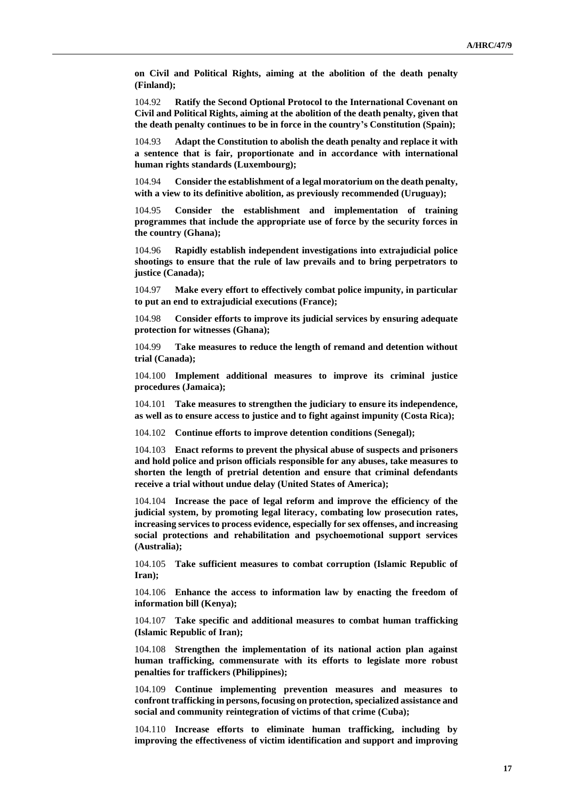**on Civil and Political Rights, aiming at the abolition of the death penalty (Finland);**

104.92 **Ratify the Second Optional Protocol to the International Covenant on Civil and Political Rights, aiming at the abolition of the death penalty, given that the death penalty continues to be in force in the country's Constitution (Spain);**

104.93 **Adapt the Constitution to abolish the death penalty and replace it with a sentence that is fair, proportionate and in accordance with international human rights standards (Luxembourg);**

104.94 **Consider the establishment of a legal moratorium on the death penalty, with a view to its definitive abolition, as previously recommended (Uruguay);**

104.95 **Consider the establishment and implementation of training programmes that include the appropriate use of force by the security forces in the country (Ghana);**

104.96 **Rapidly establish independent investigations into extrajudicial police shootings to ensure that the rule of law prevails and to bring perpetrators to justice (Canada);**

104.97 **Make every effort to effectively combat police impunity, in particular to put an end to extrajudicial executions (France);**

104.98 **Consider efforts to improve its judicial services by ensuring adequate protection for witnesses (Ghana);**

104.99 **Take measures to reduce the length of remand and detention without trial (Canada);**

104.100 **Implement additional measures to improve its criminal justice procedures (Jamaica);**

104.101 **Take measures to strengthen the judiciary to ensure its independence, as well as to ensure access to justice and to fight against impunity (Costa Rica);**

104.102 **Continue efforts to improve detention conditions (Senegal);**

104.103 **Enact reforms to prevent the physical abuse of suspects and prisoners and hold police and prison officials responsible for any abuses, take measures to shorten the length of pretrial detention and ensure that criminal defendants receive a trial without undue delay (United States of America);**

104.104 **Increase the pace of legal reform and improve the efficiency of the judicial system, by promoting legal literacy, combating low prosecution rates, increasing services to process evidence, especially for sex offenses, and increasing social protections and rehabilitation and psychoemotional support services (Australia);**

104.105 **Take sufficient measures to combat corruption (Islamic Republic of Iran);**

104.106 **Enhance the access to information law by enacting the freedom of information bill (Kenya);**

104.107 **Take specific and additional measures to combat human trafficking (Islamic Republic of Iran);**

104.108 **Strengthen the implementation of its national action plan against human trafficking, commensurate with its efforts to legislate more robust penalties for traffickers (Philippines);**

104.109 **Continue implementing prevention measures and measures to confront trafficking in persons, focusing on protection, specialized assistance and social and community reintegration of victims of that crime (Cuba);**

104.110 **Increase efforts to eliminate human trafficking, including by improving the effectiveness of victim identification and support and improving**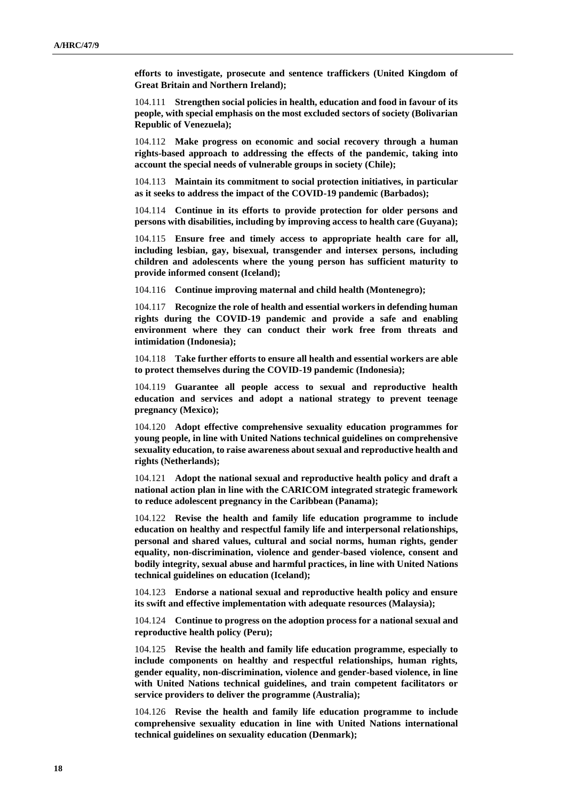**efforts to investigate, prosecute and sentence traffickers (United Kingdom of Great Britain and Northern Ireland);**

104.111 **Strengthen social policies in health, education and food in favour of its people, with special emphasis on the most excluded sectors of society (Bolivarian Republic of Venezuela);**

104.112 **Make progress on economic and social recovery through a human rights-based approach to addressing the effects of the pandemic, taking into account the special needs of vulnerable groups in society (Chile);**

104.113 **Maintain its commitment to social protection initiatives, in particular as it seeks to address the impact of the COVID-19 pandemic (Barbados);**

104.114 **Continue in its efforts to provide protection for older persons and persons with disabilities, including by improving access to health care (Guyana);**

104.115 **Ensure free and timely access to appropriate health care for all, including lesbian, gay, bisexual, transgender and intersex persons, including children and adolescents where the young person has sufficient maturity to provide informed consent (Iceland);**

104.116 **Continue improving maternal and child health (Montenegro);**

104.117 **Recognize the role of health and essential workers in defending human rights during the COVID-19 pandemic and provide a safe and enabling environment where they can conduct their work free from threats and intimidation (Indonesia);**

104.118 **Take further efforts to ensure all health and essential workers are able to protect themselves during the COVID-19 pandemic (Indonesia);**

104.119 **Guarantee all people access to sexual and reproductive health education and services and adopt a national strategy to prevent teenage pregnancy (Mexico);**

104.120 **Adopt effective comprehensive sexuality education programmes for young people, in line with United Nations technical guidelines on comprehensive sexuality education, to raise awareness about sexual and reproductive health and rights (Netherlands);**

104.121 **Adopt the national sexual and reproductive health policy and draft a national action plan in line with the CARICOM integrated strategic framework to reduce adolescent pregnancy in the Caribbean (Panama);**

104.122 **Revise the health and family life education programme to include education on healthy and respectful family life and interpersonal relationships, personal and shared values, cultural and social norms, human rights, gender equality, non-discrimination, violence and gender-based violence, consent and bodily integrity, sexual abuse and harmful practices, in line with United Nations technical guidelines on education (Iceland);**

104.123 **Endorse a national sexual and reproductive health policy and ensure its swift and effective implementation with adequate resources (Malaysia);**

104.124 **Continue to progress on the adoption process for a national sexual and reproductive health policy (Peru);**

104.125 **Revise the health and family life education programme, especially to include components on healthy and respectful relationships, human rights, gender equality, non-discrimination, violence and gender-based violence, in line with United Nations technical guidelines, and train competent facilitators or service providers to deliver the programme (Australia);**

104.126 **Revise the health and family life education programme to include comprehensive sexuality education in line with United Nations international technical guidelines on sexuality education (Denmark);**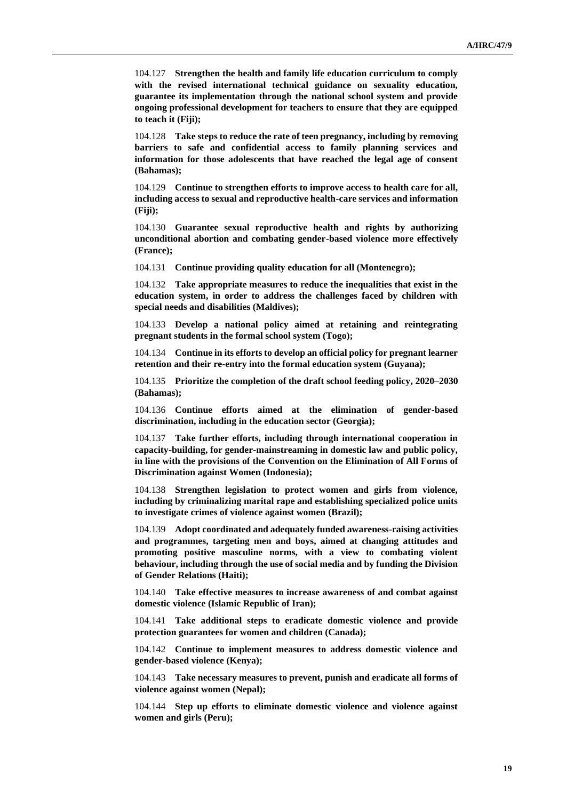104.127 **Strengthen the health and family life education curriculum to comply with the revised international technical guidance on sexuality education, guarantee its implementation through the national school system and provide ongoing professional development for teachers to ensure that they are equipped to teach it (Fiji);**

104.128 **Take steps to reduce the rate of teen pregnancy, including by removing barriers to safe and confidential access to family planning services and information for those adolescents that have reached the legal age of consent (Bahamas);**

104.129 **Continue to strengthen efforts to improve access to health care for all, including access to sexual and reproductive health-care services and information (Fiji);**

104.130 **Guarantee sexual reproductive health and rights by authorizing unconditional abortion and combating gender-based violence more effectively (France);**

104.131 **Continue providing quality education for all (Montenegro);**

104.132 **Take appropriate measures to reduce the inequalities that exist in the education system, in order to address the challenges faced by children with special needs and disabilities (Maldives);**

104.133 **Develop a national policy aimed at retaining and reintegrating pregnant students in the formal school system (Togo);**

104.134 **Continue in its efforts to develop an official policy for pregnant learner retention and their re-entry into the formal education system (Guyana);**

104.135 **Prioritize the completion of the draft school feeding policy, 2020**–**2030 (Bahamas);**

104.136 **Continue efforts aimed at the elimination of gender-based discrimination, including in the education sector (Georgia);**

104.137 **Take further efforts, including through international cooperation in capacity-building, for gender-mainstreaming in domestic law and public policy, in line with the provisions of the Convention on the Elimination of All Forms of Discrimination against Women (Indonesia);**

104.138 **Strengthen legislation to protect women and girls from violence, including by criminalizing marital rape and establishing specialized police units to investigate crimes of violence against women (Brazil);**

104.139 **Adopt coordinated and adequately funded awareness-raising activities and programmes, targeting men and boys, aimed at changing attitudes and promoting positive masculine norms, with a view to combating violent behaviour, including through the use of social media and by funding the Division of Gender Relations (Haiti);**

104.140 **Take effective measures to increase awareness of and combat against domestic violence (Islamic Republic of Iran);**

104.141 **Take additional steps to eradicate domestic violence and provide protection guarantees for women and children (Canada);**

104.142 **Continue to implement measures to address domestic violence and gender-based violence (Kenya);**

104.143 **Take necessary measures to prevent, punish and eradicate all forms of violence against women (Nepal);**

104.144 **Step up efforts to eliminate domestic violence and violence against women and girls (Peru);**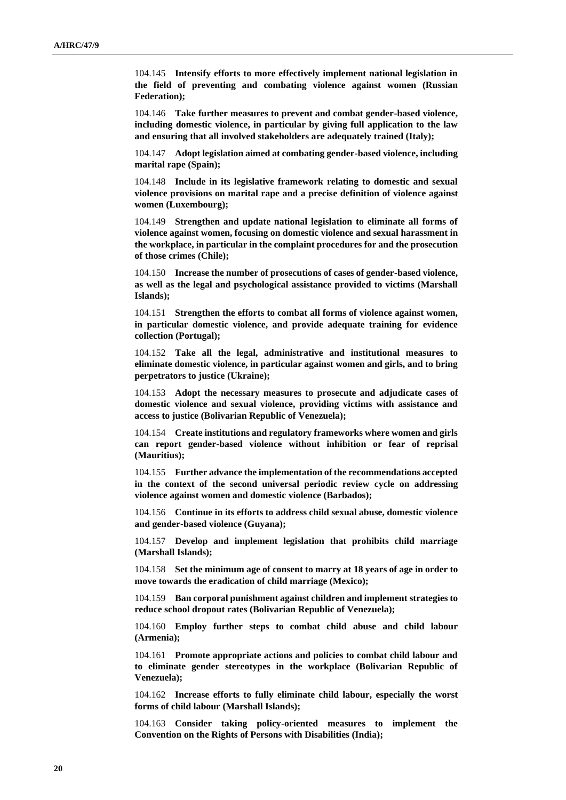104.145 **Intensify efforts to more effectively implement national legislation in the field of preventing and combating violence against women (Russian Federation);**

104.146 **Take further measures to prevent and combat gender-based violence, including domestic violence, in particular by giving full application to the law and ensuring that all involved stakeholders are adequately trained (Italy);**

104.147 **Adopt legislation aimed at combating gender-based violence, including marital rape (Spain);**

104.148 **Include in its legislative framework relating to domestic and sexual violence provisions on marital rape and a precise definition of violence against women (Luxembourg);**

104.149 **Strengthen and update national legislation to eliminate all forms of violence against women, focusing on domestic violence and sexual harassment in the workplace, in particular in the complaint procedures for and the prosecution of those crimes (Chile);**

104.150 **Increase the number of prosecutions of cases of gender-based violence, as well as the legal and psychological assistance provided to victims (Marshall Islands);**

104.151 **Strengthen the efforts to combat all forms of violence against women, in particular domestic violence, and provide adequate training for evidence collection (Portugal);**

104.152 **Take all the legal, administrative and institutional measures to eliminate domestic violence, in particular against women and girls, and to bring perpetrators to justice (Ukraine);**

104.153 **Adopt the necessary measures to prosecute and adjudicate cases of domestic violence and sexual violence, providing victims with assistance and access to justice (Bolivarian Republic of Venezuela);**

104.154 **Create institutions and regulatory frameworks where women and girls can report gender-based violence without inhibition or fear of reprisal (Mauritius);**

104.155 **Further advance the implementation of the recommendations accepted in the context of the second universal periodic review cycle on addressing violence against women and domestic violence (Barbados);**

104.156 **Continue in its efforts to address child sexual abuse, domestic violence and gender-based violence (Guyana);**

104.157 **Develop and implement legislation that prohibits child marriage (Marshall Islands);**

104.158 **Set the minimum age of consent to marry at 18 years of age in order to move towards the eradication of child marriage (Mexico);**

104.159 **Ban corporal punishment against children and implement strategies to reduce school dropout rates (Bolivarian Republic of Venezuela);**

104.160 **Employ further steps to combat child abuse and child labour (Armenia);**

104.161 **Promote appropriate actions and policies to combat child labour and to eliminate gender stereotypes in the workplace (Bolivarian Republic of Venezuela);**

104.162 **Increase efforts to fully eliminate child labour, especially the worst forms of child labour (Marshall Islands);**

104.163 **Consider taking policy-oriented measures to implement the Convention on the Rights of Persons with Disabilities (India);**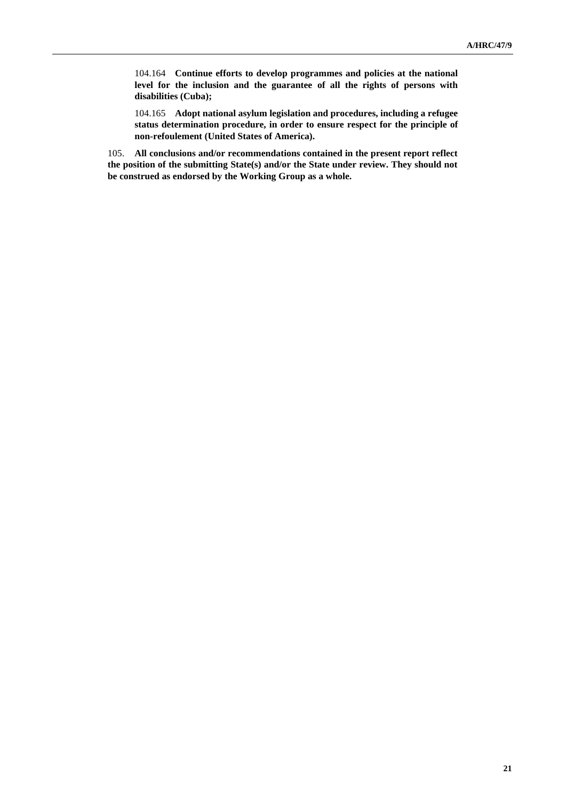104.164 **Continue efforts to develop programmes and policies at the national level for the inclusion and the guarantee of all the rights of persons with disabilities (Cuba);**

104.165 **Adopt national asylum legislation and procedures, including a refugee status determination procedure, in order to ensure respect for the principle of non-refoulement (United States of America).**

105. **All conclusions and/or recommendations contained in the present report reflect the position of the submitting State(s) and/or the State under review. They should not be construed as endorsed by the Working Group as a whole.**